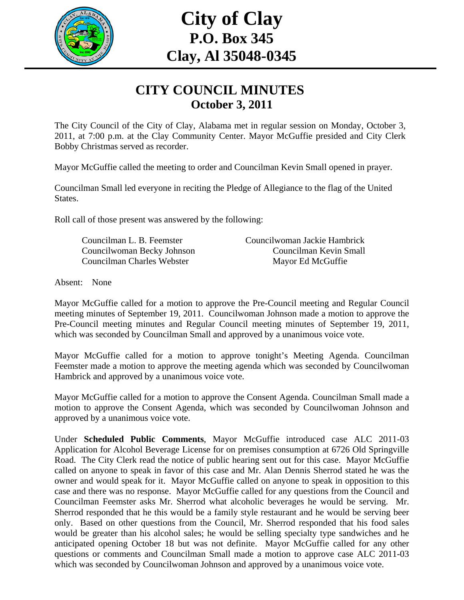

# **City of Clay P.O. Box 345 Clay, Al 35048-0345**

#### **CITY COUNCIL MINUTES October 3, 2011**

The City Council of the City of Clay, Alabama met in regular session on Monday, October 3, 2011, at 7:00 p.m. at the Clay Community Center. Mayor McGuffie presided and City Clerk Bobby Christmas served as recorder.

Mayor McGuffie called the meeting to order and Councilman Kevin Small opened in prayer.

Councilman Small led everyone in reciting the Pledge of Allegiance to the flag of the United States.

Roll call of those present was answered by the following:

| Councilman L. B. Feemster  | Councilwoman Jackie Hambrick |
|----------------------------|------------------------------|
| Councilwoman Becky Johnson | Councilman Kevin Small       |
| Councilman Charles Webster | Mayor Ed McGuffie            |

Absent: None

Mayor McGuffie called for a motion to approve the Pre-Council meeting and Regular Council meeting minutes of September 19, 2011. Councilwoman Johnson made a motion to approve the Pre-Council meeting minutes and Regular Council meeting minutes of September 19, 2011, which was seconded by Councilman Small and approved by a unanimous voice vote.

Mayor McGuffie called for a motion to approve tonight's Meeting Agenda. Councilman Feemster made a motion to approve the meeting agenda which was seconded by Councilwoman Hambrick and approved by a unanimous voice vote.

Mayor McGuffie called for a motion to approve the Consent Agenda. Councilman Small made a motion to approve the Consent Agenda, which was seconded by Councilwoman Johnson and approved by a unanimous voice vote.

Under **Scheduled Public Comments**, Mayor McGuffie introduced case ALC 2011-03 Application for Alcohol Beverage License for on premises consumption at 6726 Old Springville Road. The City Clerk read the notice of public hearing sent out for this case. Mayor McGuffie called on anyone to speak in favor of this case and Mr. Alan Dennis Sherrod stated he was the owner and would speak for it. Mayor McGuffie called on anyone to speak in opposition to this case and there was no response. Mayor McGuffie called for any questions from the Council and Councilman Feemster asks Mr. Sherrod what alcoholic beverages he would be serving. Mr. Sherrod responded that he this would be a family style restaurant and he would be serving beer only. Based on other questions from the Council, Mr. Sherrod responded that his food sales would be greater than his alcohol sales; he would be selling specialty type sandwiches and he anticipated opening October 18 but was not definite. Mayor McGuffie called for any other questions or comments and Councilman Small made a motion to approve case ALC 2011-03 which was seconded by Councilwoman Johnson and approved by a unanimous voice vote.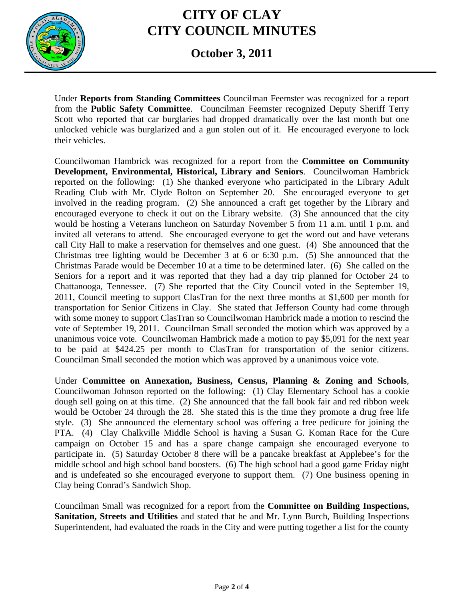

### **CITY OF CLAY CITY COUNCIL MINUTES**

#### **October 3, 2011**

Under **Reports from Standing Committees** Councilman Feemster was recognized for a report from the **Public Safety Committee**. Councilman Feemster recognized Deputy Sheriff Terry Scott who reported that car burglaries had dropped dramatically over the last month but one unlocked vehicle was burglarized and a gun stolen out of it. He encouraged everyone to lock their vehicles.

Councilwoman Hambrick was recognized for a report from the **Committee on Community Development, Environmental, Historical, Library and Seniors**. Councilwoman Hambrick reported on the following: (1) She thanked everyone who participated in the Library Adult Reading Club with Mr. Clyde Bolton on September 20. She encouraged everyone to get involved in the reading program. (2) She announced a craft get together by the Library and encouraged everyone to check it out on the Library website. (3) She announced that the city would be hosting a Veterans luncheon on Saturday November 5 from 11 a.m. until 1 p.m. and invited all veterans to attend. She encouraged everyone to get the word out and have veterans call City Hall to make a reservation for themselves and one guest. (4) She announced that the Christmas tree lighting would be December 3 at 6 or 6:30 p.m. (5) She announced that the Christmas Parade would be December 10 at a time to be determined later. (6) She called on the Seniors for a report and it was reported that they had a day trip planned for October 24 to Chattanooga, Tennessee. (7) She reported that the City Council voted in the September 19, 2011, Council meeting to support ClasTran for the next three months at \$1,600 per month for transportation for Senior Citizens in Clay. She stated that Jefferson County had come through with some money to support ClasTran so Councilwoman Hambrick made a motion to rescind the vote of September 19, 2011. Councilman Small seconded the motion which was approved by a unanimous voice vote. Councilwoman Hambrick made a motion to pay \$5,091 for the next year to be paid at \$424.25 per month to ClasTran for transportation of the senior citizens. Councilman Small seconded the motion which was approved by a unanimous voice vote.

Under **Committee on Annexation, Business, Census, Planning & Zoning and Schools**, Councilwoman Johnson reported on the following: (1) Clay Elementary School has a cookie dough sell going on at this time. (2) She announced that the fall book fair and red ribbon week would be October 24 through the 28. She stated this is the time they promote a drug free life style. (3) She announced the elementary school was offering a free pedicure for joining the PTA. (4) Clay Chalkville Middle School is having a Susan G. Koman Race for the Cure campaign on October 15 and has a spare change campaign she encouraged everyone to participate in. (5) Saturday October 8 there will be a pancake breakfast at Applebee's for the middle school and high school band boosters. (6) The high school had a good game Friday night and is undefeated so she encouraged everyone to support them. (7) One business opening in Clay being Conrad's Sandwich Shop.

Councilman Small was recognized for a report from the **Committee on Building Inspections, Sanitation, Streets and Utilities** and stated that he and Mr. Lynn Burch, Building Inspections Superintendent, had evaluated the roads in the City and were putting together a list for the county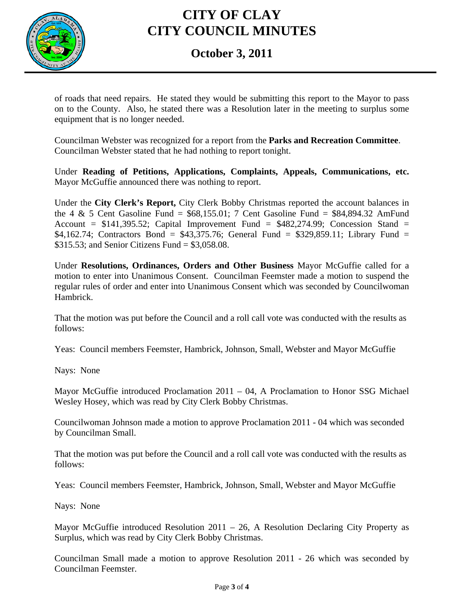

# **CITY OF CLAY CITY COUNCIL MINUTES**

#### **October 3, 2011**

of roads that need repairs. He stated they would be submitting this report to the Mayor to pass on to the County. Also, he stated there was a Resolution later in the meeting to surplus some equipment that is no longer needed.

Councilman Webster was recognized for a report from the **Parks and Recreation Committee**. Councilman Webster stated that he had nothing to report tonight.

Under **Reading of Petitions, Applications, Complaints, Appeals, Communications, etc.** Mayor McGuffie announced there was nothing to report.

Under the **City Clerk's Report,** City Clerk Bobby Christmas reported the account balances in the 4 & 5 Cent Gasoline Fund =  $$68,155.01$ ; 7 Cent Gasoline Fund =  $$84,894.32$  AmFund Account =  $$141,395.52$ ; Capital Improvement Fund =  $$482,274.99$ ; Concession Stand = \$4,162.74; Contractors Bond = \$43,375.76; General Fund = \$329,859.11; Library Fund = \$315.53; and Senior Citizens Fund = \$3,058.08.

Under **Resolutions, Ordinances, Orders and Other Business** Mayor McGuffie called for a motion to enter into Unanimous Consent. Councilman Feemster made a motion to suspend the regular rules of order and enter into Unanimous Consent which was seconded by Councilwoman Hambrick.

That the motion was put before the Council and a roll call vote was conducted with the results as follows:

Yeas: Council members Feemster, Hambrick, Johnson, Small, Webster and Mayor McGuffie

Nays: None

Mayor McGuffie introduced Proclamation 2011 – 04, A Proclamation to Honor SSG Michael Wesley Hosey, which was read by City Clerk Bobby Christmas.

Councilwoman Johnson made a motion to approve Proclamation 2011 - 04 which was seconded by Councilman Small.

That the motion was put before the Council and a roll call vote was conducted with the results as follows:

Yeas: Council members Feemster, Hambrick, Johnson, Small, Webster and Mayor McGuffie

Nays: None

Mayor McGuffie introduced Resolution  $2011 - 26$ , A Resolution Declaring City Property as Surplus, which was read by City Clerk Bobby Christmas.

Councilman Small made a motion to approve Resolution 2011 - 26 which was seconded by Councilman Feemster.